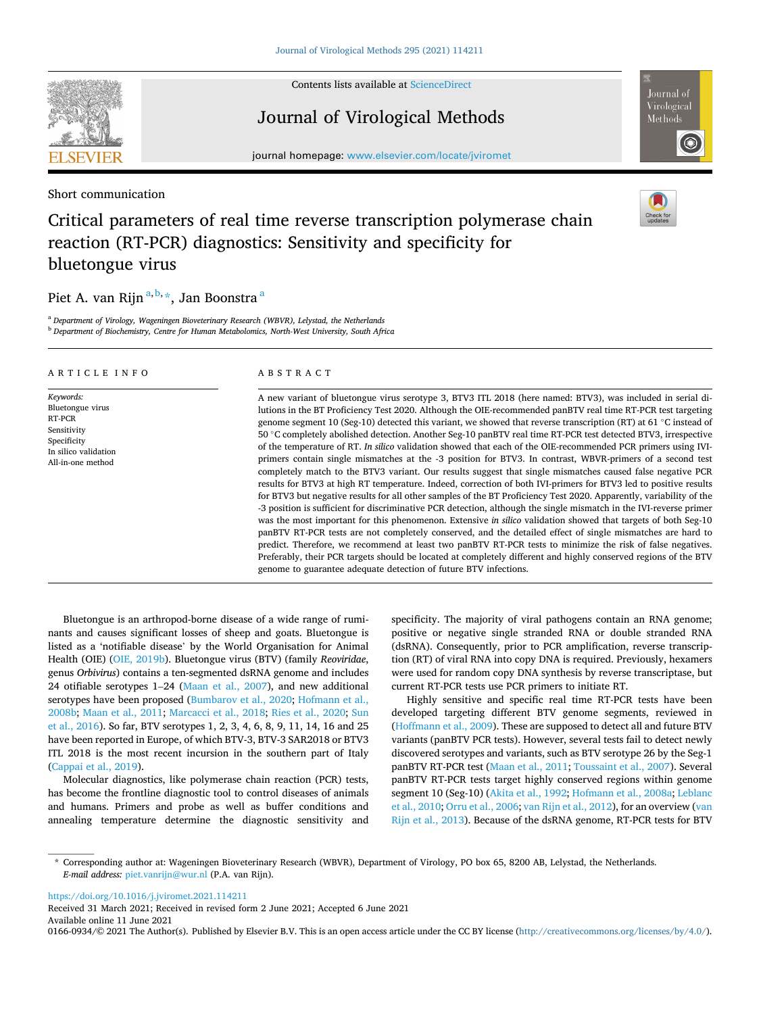

Contents lists available at [ScienceDirect](www.sciencedirect.com/science/journal/01660934)

# Journal of Virological Methods

journal homepage: [www.elsevier.com/locate/jviromet](https://www.elsevier.com/locate/jviromet)

Short communication

# Critical parameters of real time reverse transcription polymerase chain reaction (RT-PCR) diagnostics: Sensitivity and specificity for bluetongue virus

# Piet A. van Rijn<sup>a, b,</sup> , Jan Boonstra <sup>a</sup>

<sup>a</sup> *Department of Virology, Wageningen Bioveterinary Research (WBVR), Lelystad, the Netherlands* <sup>b</sup> *Department of Biochemistry, Centre for Human Metabolomics, North-West University, South Africa* 

| ARTICLE INFO                                                                                                       | ABSTRACT                                                                                                                                                                                                                                                                                                                                                                                                                                                                                                                                                                                                                                                                                                                                                                                                                                                                                                                                                                                                                                                                                                                                                                                                                                                                                                                                                                                                                                                                                                                                                                                                                                                                                                        |
|--------------------------------------------------------------------------------------------------------------------|-----------------------------------------------------------------------------------------------------------------------------------------------------------------------------------------------------------------------------------------------------------------------------------------------------------------------------------------------------------------------------------------------------------------------------------------------------------------------------------------------------------------------------------------------------------------------------------------------------------------------------------------------------------------------------------------------------------------------------------------------------------------------------------------------------------------------------------------------------------------------------------------------------------------------------------------------------------------------------------------------------------------------------------------------------------------------------------------------------------------------------------------------------------------------------------------------------------------------------------------------------------------------------------------------------------------------------------------------------------------------------------------------------------------------------------------------------------------------------------------------------------------------------------------------------------------------------------------------------------------------------------------------------------------------------------------------------------------|
| Keywords:<br>Bluetongue virus<br>RT-PCR<br>Sensitivity<br>Specificity<br>In silico validation<br>All-in-one method | A new variant of bluetongue virus serotype 3, BTV3 ITL 2018 (here named: BTV3), was included in serial di-<br>lutions in the BT Proficiency Test 2020. Although the OIE-recommended panBTV real time RT-PCR test targeting<br>genome segment 10 (Seg-10) detected this variant, we showed that reverse transcription (RT) at 61 °C instead of<br>50 °C completely abolished detection. Another Seg-10 panBTV real time RT-PCR test detected BTV3, irrespective<br>of the temperature of RT. In silico validation showed that each of the OIE-recommended PCR primers using IVI-<br>primers contain single mismatches at the -3 position for BTV3. In contrast, WBVR-primers of a second test<br>completely match to the BTV3 variant. Our results suggest that single mismatches caused false negative PCR<br>results for BTV3 at high RT temperature. Indeed, correction of both IVI-primers for BTV3 led to positive results<br>for BTV3 but negative results for all other samples of the BT Proficiency Test 2020. Apparently, variability of the<br>-3 position is sufficient for discriminative PCR detection, although the single mismatch in the IVI-reverse primer<br>was the most important for this phenomenon. Extensive in silico validation showed that targets of both Seg-10<br>panBTV RT-PCR tests are not completely conserved, and the detailed effect of single mismatches are hard to<br>predict. Therefore, we recommend at least two panBTV RT-PCR tests to minimize the risk of false negatives.<br>Preferably, their PCR targets should be located at completely different and highly conserved regions of the BTV<br>genome to guarantee adequate detection of future BTV infections. |

Bluetongue is an arthropod-borne disease of a wide range of ruminants and causes significant losses of sheep and goats. Bluetongue is listed as a 'notifiable disease' by the World Organisation for Animal Health (OIE) ([OIE, 2019b\)](#page-3-0). Bluetongue virus (BTV) (family *Reoviridae*, genus *Orbivirus*) contains a ten-segmented dsRNA genome and includes 24 otifiable serotypes 1–24 [\(Maan et al., 2007](#page-3-0)), and new additional serotypes have been proposed (Bumbarov et al., 2020; Hofmann et al., [2008b;](#page-3-0) [Maan et al., 2011;](#page-3-0) [Marcacci et al., 2018;](#page-3-0) [Ries et al., 2020; Sun](#page-3-0)  [et al., 2016\)](#page-3-0). So far, BTV serotypes 1, 2, 3, 4, 6, 8, 9, 11, 14, 16 and 25 have been reported in Europe, of which BTV-3, BTV-3 SAR2018 or BTV3 ITL 2018 is the most recent incursion in the southern part of Italy ([Cappai et al., 2019\)](#page-3-0).

Molecular diagnostics, like polymerase chain reaction (PCR) tests, has become the frontline diagnostic tool to control diseases of animals and humans. Primers and probe as well as buffer conditions and annealing temperature determine the diagnostic sensitivity and specificity. The majority of viral pathogens contain an RNA genome; positive or negative single stranded RNA or double stranded RNA (dsRNA). Consequently, prior to PCR amplification, reverse transcription (RT) of viral RNA into copy DNA is required. Previously, hexamers were used for random copy DNA synthesis by reverse transcriptase, but current RT-PCR tests use PCR primers to initiate RT.

Highly sensitive and specific real time RT-PCR tests have been developed targeting different BTV genome segments, reviewed in ([Hoffmann et al., 2009\)](#page-3-0). These are supposed to detect all and future BTV variants (panBTV PCR tests). However, several tests fail to detect newly discovered serotypes and variants, such as BTV serotype 26 by the Seg-1 panBTV RT-PCR test ([Maan et al., 2011; Toussaint et al., 2007\)](#page-3-0). Several panBTV RT-PCR tests target highly conserved regions within genome segment 10 (Seg-10) ([Akita et al., 1992; Hofmann et al., 2008a](#page-3-0); [Leblanc](#page-3-0)  [et al., 2010](#page-3-0); [Orru et al., 2006](#page-3-0); [van Rijn et al., 2012](#page-3-0)), for an overview ([van](#page-3-0)  [Rijn et al., 2013](#page-3-0)). Because of the dsRNA genome, RT-PCR tests for BTV

<https://doi.org/10.1016/j.jviromet.2021.114211>

Available online 11 June 2021 0166-0934/© 2021 The Author(s). Published by Elsevier B.V. This is an open access article under the CC BY license [\(http://creativecommons.org/licenses/by/4.0/\)](http://creativecommons.org/licenses/by/4.0/). Received 31 March 2021; Received in revised form 2 June 2021; Accepted 6 June 2021





<sup>\*</sup> Corresponding author at: Wageningen Bioveterinary Research (WBVR), Department of Virology, PO box 65, 8200 AB, Lelystad, the Netherlands. *E-mail address:* [piet.vanrijn@wur.nl](mailto:piet.vanrijn@wur.nl) (P.A. van Rijn).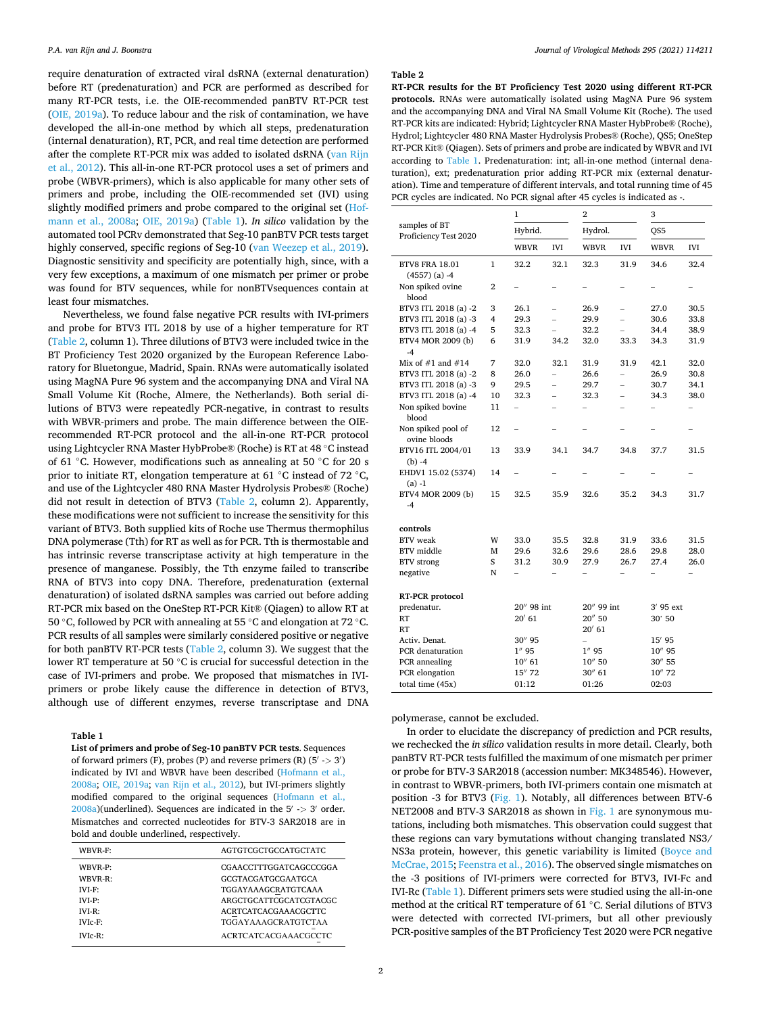<span id="page-1-0"></span>require denaturation of extracted viral dsRNA (external denaturation) before RT (predenaturation) and PCR are performed as described for many RT-PCR tests, i.e. the OIE-recommended panBTV RT-PCR test ([OIE, 2019a](#page-3-0)). To reduce labour and the risk of contamination, we have developed the all-in-one method by which all steps, predenaturation (internal denaturation), RT, PCR, and real time detection are performed after the complete RT-PCR mix was added to isolated dsRNA ([van Rijn](#page-3-0)  [et al., 2012\)](#page-3-0). This all-in-one RT-PCR protocol uses a set of primers and probe (WBVR-primers), which is also applicable for many other sets of primers and probe, including the OIE-recommended set (IVI) using slightly modified primers and probe compared to the original set [\(Hof](#page-3-0)[mann et al., 2008a](#page-3-0); [OIE, 2019a](#page-3-0)) (Table 1). *In silico* validation by the automated tool PCRv demonstrated that Seg-10 panBTV PCR tests target highly conserved, specific regions of Seg-10 [\(van Weezep et al., 2019](#page-3-0)). Diagnostic sensitivity and specificity are potentially high, since, with a very few exceptions, a maximum of one mismatch per primer or probe was found for BTV sequences, while for nonBTVsequences contain at least four mismatches.

Nevertheless, we found false negative PCR results with IVI-primers and probe for BTV3 ITL 2018 by use of a higher temperature for RT (Table 2, column 1). Three dilutions of BTV3 were included twice in the BT Proficiency Test 2020 organized by the European Reference Laboratory for Bluetongue, Madrid, Spain. RNAs were automatically isolated using MagNA Pure 96 system and the accompanying DNA and Viral NA Small Volume Kit (Roche, Almere, the Netherlands). Both serial dilutions of BTV3 were repeatedly PCR-negative, in contrast to results with WBVR-primers and probe. The main difference between the OIErecommended RT-PCR protocol and the all-in-one RT-PCR protocol using Lightcycler RNA Master HybProbe® (Roche) is RT at 48 ◦C instead of 61 ◦C. However, modifications such as annealing at 50 ◦C for 20 s prior to initiate RT, elongation temperature at 61 °C instead of 72 °C, and use of the Lightcycler 480 RNA Master Hydrolysis Probes® (Roche) did not result in detection of BTV3 (Table 2, column 2). Apparently, these modifications were not sufficient to increase the sensitivity for this variant of BTV3. Both supplied kits of Roche use Thermus thermophilus DNA polymerase (Tth) for RT as well as for PCR. Tth is thermostable and has intrinsic reverse transcriptase activity at high temperature in the presence of manganese. Possibly, the Tth enzyme failed to transcribe RNA of BTV3 into copy DNA. Therefore, predenaturation (external denaturation) of isolated dsRNA samples was carried out before adding RT-PCR mix based on the OneStep RT-PCR Kit® (Qiagen) to allow RT at 50 ◦C, followed by PCR with annealing at 55 ◦C and elongation at 72 ◦C. PCR results of all samples were similarly considered positive or negative for both panBTV RT-PCR tests (Table 2, column 3). We suggest that the lower RT temperature at 50 ◦C is crucial for successful detection in the case of IVI-primers and probe. We proposed that mismatches in IVIprimers or probe likely cause the difference in detection of BTV3, although use of different enzymes, reverse transcriptase and DNA

## **Table 1**

**List of primers and probe of Seg-10 panBTV PCR tests**. Sequences of forward primers (F), probes (P) and reverse primers (R) (5′ -*>* 3′ ) indicated by IVI and WBVR have been described ([Hofmann et al.,](#page-3-0) [2008a;](#page-3-0) [OIE, 2019a;](#page-3-0) [van Rijn et al., 2012\)](#page-3-0), but IVI-primers slightly modified compared to the original sequences ([Hofmann et al.,](#page-3-0) [2008a\)](#page-3-0)(underlined). Sequences are indicated in the 5′ -*>* 3′ order. Mismatches and corrected nucleotides for BTV-3 SAR2018 are in bold and double underlined, respectively.

| WBVR-F:    | AGTGTCGCTGCCATGCTATC        |
|------------|-----------------------------|
| WBVR-P:    | CGAACCTTTGGATCAGCCCGGA      |
| WBVR-R:    | GCGTACGATGCGAATGCA          |
| $IVI-F:$   | TGGAYAAAGCRATGTCAAA         |
| $IVI-P:$   | ARGCTGCATTCGCATCGTACGC      |
| $IVI-R:$   | ACRTCATCACGAAACGCTTC        |
| $IVIc-F$ : | TGGAYAAAGCRATGTCTAA         |
| $IVIc-R$ : | <b>ACRTCATCACGAAACGCCTC</b> |

#### **Table 2**

**RT-PCR results for the BT Proficiency Test 2020 using different RT-PCR protocols.** RNAs were automatically isolated using MagNA Pure 96 system and the accompanying DNA and Viral NA Small Volume Kit (Roche). The used RT-PCR kits are indicated: Hybrid; Lightcycler RNA Master HybProbe® (Roche), Hydrol; Lightcycler 480 RNA Master Hydrolysis Probes® (Roche), QS5; OneStep RT-PCR Kit® (Qiagen). Sets of primers and probe are indicated by WBVR and IVI according to Table 1. Predenaturation: int; all-in-one method (internal denaturation), ext; predenaturation prior adding RT-PCR mix (external denaturation). Time and temperature of different intervals, and total running time of 45 PCR cycles are indicated. No PCR signal after 45 cycles is indicated as -.

|                                        |                | $\mathbf{1}$   |                          | 2                        |                          | 3                        |                          |
|----------------------------------------|----------------|----------------|--------------------------|--------------------------|--------------------------|--------------------------|--------------------------|
| samples of BT<br>Proficiency Test 2020 | Hybrid.        |                | Hydrol.                  |                          | QS5                      |                          |                          |
|                                        |                | <b>WBVR</b>    | <b>IVI</b>               | WBVR                     | IVI                      | <b>WBVR</b>              | <b>IVI</b>               |
| <b>BTV8 FRA 18.01</b>                  | 1              | 32.2           | 32.1                     | 32.3                     | 31.9                     | 34.6                     | 32.4                     |
| $(4557)$ (a) -4                        |                |                |                          |                          |                          |                          |                          |
| Non spiked ovine<br>blood              | $\overline{2}$ |                |                          |                          |                          |                          |                          |
| BTV3 ITL 2018 (a) -2                   | 3              | 26.1           | $\overline{a}$           | 26.9                     | $\overline{a}$           | 27.0                     | 30.5                     |
| BTV3 ITL 2018 (a) -3                   | 4              | 29.3           | $\overline{a}$           | 29.9                     | $\overline{a}$           | 30.6                     | 33.8                     |
| BTV3 ITL 2018 (a) -4                   | 5              | 32.3           |                          | 32.2                     |                          | 34.4                     | 38.9                     |
| BTV4 MOR 2009 (b)                      | 6              | 31.9           | 34.2                     | 32.0                     | 33.3                     | 34.3                     | 31.9                     |
| $-4$                                   |                |                |                          |                          |                          |                          |                          |
| Mix of $#1$ and $#14$                  | 7              | 32.0           | 32.1                     | 31.9                     | 31.9                     | 42.1                     | 32.0                     |
| BTV3 ITL 2018 (a) -2                   | 8              | 26.0           | $\overline{\phantom{0}}$ | 26.6                     | $\overline{\phantom{0}}$ | 26.9                     | 30.8                     |
| BTV3 ITL 2018 (a) -3                   | 9              | 29.5           | $\overline{\phantom{0}}$ | 29.7                     | $\overline{\phantom{0}}$ | 30.7                     | 34.1                     |
| BTV3 ITL 2018 (a) -4                   | 10             | 32.3           | $\overline{a}$           | 32.3                     | $\overline{a}$           | 34.3                     | 38.0                     |
| Non spiked bovine<br>blood             | 11             |                |                          |                          |                          |                          | $\overline{\phantom{0}}$ |
| Non spiked pool of                     | 12             |                |                          |                          |                          |                          |                          |
| ovine bloods                           |                |                |                          |                          |                          |                          |                          |
| BTV16 ITL 2004/01<br>$(b) -4$          | 13             | 33.9           | 34.1                     | 34.7                     | 34.8                     | 37.7                     | 31.5                     |
| EHDV1 15.02 (5374)<br>$(a) -1$         | 14             |                |                          |                          |                          |                          |                          |
| BTV4 MOR 2009 (b)<br>$-4$              | 15             | 32.5           | 35.9                     | 32.6                     | 35.2                     | 34.3                     | 31.7                     |
| controls                               |                |                |                          |                          |                          |                          |                          |
| <b>BTV</b> weak                        | W              | 33.0           | 35.5                     | 32.8                     | 31.9                     | 33.6                     | 31.5                     |
| BTV middle                             | М              | 29.6           | 32.6                     | 29.6                     | 28.6                     | 29.8                     | 28.0                     |
| <b>BTV</b> strong                      | S              | 31.2           | 30.9                     | 27.9                     | 26.7                     | 27.4                     | 26.0                     |
| negative                               | N              | $\overline{a}$ | $\overline{\phantom{0}}$ | $\overline{\phantom{0}}$ | $\overline{\phantom{0}}$ | $\overline{\phantom{0}}$ | $\overline{\phantom{0}}$ |
|                                        |                |                |                          |                          |                          |                          |                          |
| RT-PCR protocol                        |                | 20" 98 int     |                          | 20" 99 int               |                          | $3'$ 95 $ext$            |                          |
| predenatur.<br>RT                      |                | 20' 61         |                          | 20" 50                   |                          | 30' 50                   |                          |
| RT                                     |                |                |                          | $20'$ 61                 |                          |                          |                          |
| Activ. Denat.                          |                | 30" 95         |                          | $\overline{\phantom{0}}$ |                          | 15' 95                   |                          |
| PCR denaturation                       |                | $1''$ 95       |                          | $1''$ 95                 |                          | 10" 95                   |                          |
| PCR annealing                          |                | $10''$ 61      |                          | $10''$ 50                |                          | 30" 55                   |                          |
| PCR elongation                         |                | 15" 72         |                          | 30" 61                   |                          | 10" 72                   |                          |
| total time (45x)                       |                | 01:12          |                          | 01:26                    |                          | 02:03                    |                          |

polymerase, cannot be excluded.

In order to elucidate the discrepancy of prediction and PCR results, we rechecked the *in silico* validation results in more detail. Clearly, both panBTV RT-PCR tests fulfilled the maximum of one mismatch per primer or probe for BTV-3 SAR2018 (accession number: MK348546). However, in contrast to WBVR-primers, both IVI-primers contain one mismatch at position -3 for BTV3 [\(Fig. 1\)](#page-2-0). Notably, all differences between BTV-6 NET2008 and BTV-3 SAR2018 as shown in [Fig. 1](#page-2-0) are synonymous mutations, including both mismatches. This observation could suggest that these regions can vary bymutations without changing translated NS3/ NS3a protein, however, this genetic variability is limited [\(Boyce and](#page-3-0)  [McCrae, 2015](#page-3-0); [Feenstra et al., 2016\)](#page-3-0). The observed single mismatches on the -3 positions of IVI-primers were corrected for BTV3, IVI-Fc and IVI-Rc (Table 1). Different primers sets were studied using the all-in-one method at the critical RT temperature of 61 ◦C. Serial dilutions of BTV3 were detected with corrected IVI-primers, but all other previously PCR-positive samples of the BT Proficiency Test 2020 were PCR negative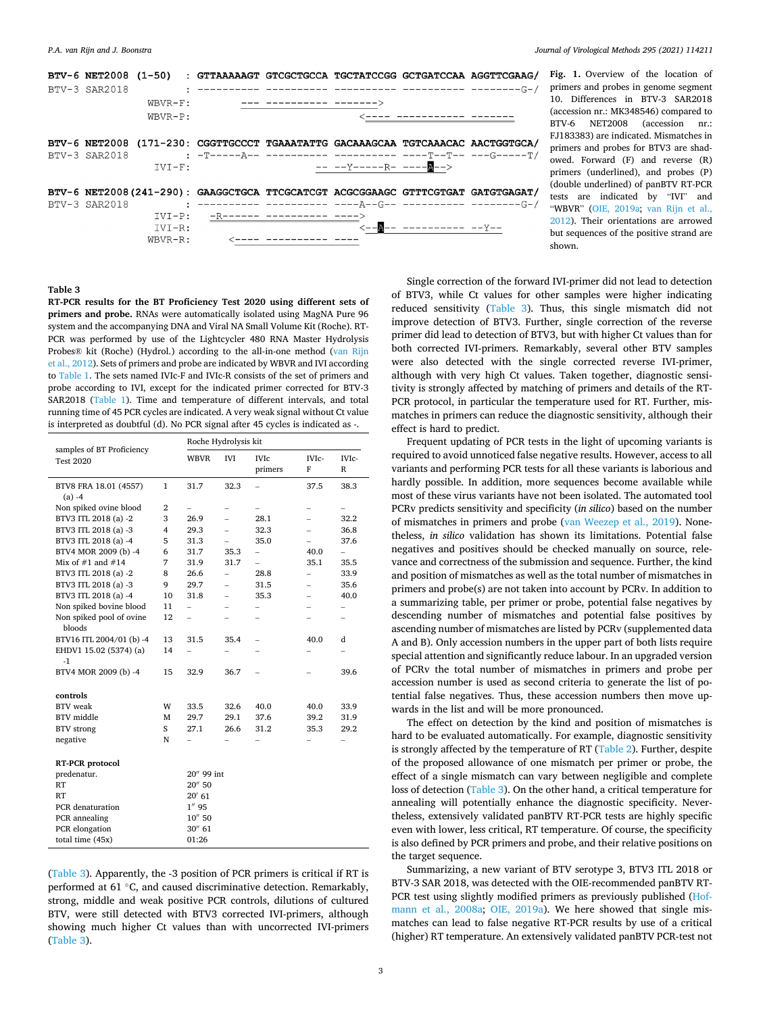<span id="page-2-0"></span>

| BTV-6 NET2008 (1-50) : GTTAAAAAGT GTCGCTGCCA TGCTATCCGG GCTGATCCAA AGGTTCGAAG/  |            |                                                            |                         |                         |                                  |  |
|---------------------------------------------------------------------------------|------------|------------------------------------------------------------|-------------------------|-------------------------|----------------------------------|--|
| BTV-3 SAR2018                                                                   |            |                                                            |                         |                         |                                  |  |
|                                                                                 | $WBVR-F$ : |                                                            | --- ---------- -------> |                         |                                  |  |
|                                                                                 | $WBVR-P:$  |                                                            |                         |                         | <---- ------------ -------       |  |
|                                                                                 |            |                                                            |                         |                         |                                  |  |
| BTV-6 NET2008 (171-230: CGGTTGCCCT TGAAATATTG GACAAAGCAA TGTCAAACAC AACTGGTGCA/ |            |                                                            |                         |                         |                                  |  |
| BTV-3 SAR2018                                                                   |            | : -T-----A-- ---------- ----------- ----T--T-- ---G-----T/ |                         |                         |                                  |  |
|                                                                                 | $TVT-F$ :  |                                                            |                         | -- --Y------R- ----A--> |                                  |  |
|                                                                                 |            |                                                            |                         |                         |                                  |  |
| BTV-6 NET2008(241-290): GAAGGCTGCA TTCGCATCGT ACGCGGAAGC GTTTCGTGAT GATGTGAGAT/ |            |                                                            |                         |                         |                                  |  |
| BTV-3 SAR2018                                                                   |            |                                                            |                         |                         |                                  |  |
|                                                                                 |            | $IVI-P: -R----- ---- ---- ---- ----$                       |                         |                         |                                  |  |
|                                                                                 | $IVI-R:$   |                                                            |                         |                         |                                  |  |
|                                                                                 | $WBVR-R$ : |                                                            |                         |                         |                                  |  |
|                                                                                 |            |                                                            |                         |                         | <-- <b>A</b> -- ---------- --Y-- |  |

**Fig. 1.** Overview of the location of primers and probes in genome segment 10. Differences in BTV-3 SAR2018 (accession nr.: MK348546) compared to BTV-6 NET2008 (accession nr.: FJ183383) are indicated. Mismatches in primers and probes for BTV3 are shadowed. Forward (F) and reverse (R) primers (underlined), and probes (P) (double underlined) of panBTV RT-PCR tests are indicated by "IVI" and "WBVR" ([OIE, 2019a;](#page-3-0) [van Rijn et al.,](#page-3-0)  [2012\)](#page-3-0). Their orientations are arrowed but sequences of the positive strand are shown.

# **Table 3**

**RT-PCR results for the BT Proficiency Test 2020 using different sets of primers and probe.** RNAs were automatically isolated using MagNA Pure 96 system and the accompanying DNA and Viral NA Small Volume Kit (Roche). RT-PCR was performed by use of the Lightcycler 480 RNA Master Hydrolysis Probes® kit (Roche) (Hydrol.) according to the all-in-one method ([van Rijn](#page-3-0)  [et al., 2012\)](#page-3-0). Sets of primers and probe are indicated by WBVR and IVI according to [Table 1](#page-1-0). The sets named IVIc-F and IVIc-R consists of the set of primers and probe according to IVI, except for the indicated primer corrected for BTV-3 SAR2018 [\(Table 1\)](#page-1-0). Time and temperature of different intervals, and total running time of 45 PCR cycles are indicated. A very weak signal without Ct value is interpreted as doubtful (d). No PCR signal after 45 cycles is indicated as -.

| samples of BT Proficiency<br><b>Test 2020</b> |                | Roche Hydrolysis kit     |                          |                          |                          |                          |  |  |
|-----------------------------------------------|----------------|--------------------------|--------------------------|--------------------------|--------------------------|--------------------------|--|--|
|                                               |                | <b>WBVR</b>              | <b>IVI</b>               | <b>IVIc</b><br>primers   | IVIc-<br>F               | IVIc-<br>$\mathbb{R}$    |  |  |
| BTV8 FRA 18.01 (4557)<br>$(a) -4$             | 1              | 31.7                     | 32.3                     |                          | 37.5                     | 38.3                     |  |  |
| Non spiked ovine blood                        | $\overline{2}$ | $\overline{\phantom{0}}$ | $\overline{\phantom{0}}$ |                          | $\overline{\phantom{0}}$ | $\overline{\phantom{0}}$ |  |  |
| BTV3 ITL 2018 (a) -2                          | 3              | 26.9                     | $\overline{a}$           | 28.1                     | $\overline{\phantom{0}}$ | 32.2                     |  |  |
| BTV3 ITL 2018 (a) -3                          | 4              | 29.3                     | $\overline{a}$           | 32.3                     | $\overline{a}$           | 36.8                     |  |  |
| BTV3 ITL 2018 (a) -4                          | 5              | 31.3                     | $\overline{\phantom{0}}$ | 35.0                     | $\overline{a}$           | 37.6                     |  |  |
| BTV4 MOR 2009 (b) -4                          | 6              | 31.7                     | 35.3                     | $\overline{a}$           | 40.0                     | $\overline{\phantom{0}}$ |  |  |
| Mix of $#1$ and $#14$                         | 7              | 31.9                     | 31.7                     | $\overline{a}$           | 35.1                     | 35.5                     |  |  |
| BTV3 ITL 2018 (a) -2                          | 8              | 26.6                     | $\overline{a}$           | 28.8                     | $\overline{\phantom{0}}$ | 33.9                     |  |  |
| BTV3 ITL 2018 (a) -3                          | 9              | 29.7                     | $\overline{a}$           | 31.5                     | $\overline{\phantom{0}}$ | 35.6                     |  |  |
| BTV3 ITL 2018 (a) -4                          | 10             | 31.8                     | $\overline{\phantom{0}}$ | 35.3                     | $\overline{\phantom{0}}$ | 40.0                     |  |  |
| Non spiked bovine blood                       | 11             | $\overline{\phantom{0}}$ |                          | $\overline{\phantom{0}}$ | -                        | -                        |  |  |
| Non spiked pool of ovine<br>bloods            | 12             | $\overline{a}$           |                          |                          | $\overline{a}$           |                          |  |  |
| BTV16 ITL 2004/01 (b) -4                      | 13             | 31.5                     | 35.4                     | $\overline{\phantom{0}}$ | 40.0                     | d                        |  |  |
| EHDV1 15.02 (5374) (a)<br>$-1$                | 14             | $\overline{\phantom{0}}$ |                          |                          |                          | $\overline{\phantom{0}}$ |  |  |
| BTV4 MOR 2009 (b) -4                          | 15             | 32.9                     | 36.7                     |                          |                          | 39.6                     |  |  |
| controls                                      |                |                          |                          |                          |                          |                          |  |  |
| <b>BTV</b> weak                               | W              | 33.5                     | 32.6                     | 40.0                     | 40.0                     | 33.9                     |  |  |
| <b>BTV</b> middle                             | M              | 29.7                     | 29.1                     | 37.6                     | 39.2                     | 31.9                     |  |  |
| <b>BTV</b> strong                             | S              | 27.1                     | 26.6                     | 31.2                     | 35.3                     | 29.2                     |  |  |
| negative                                      | N              |                          |                          |                          |                          | $\overline{\phantom{0}}$ |  |  |
| RT-PCR protocol                               |                |                          |                          |                          |                          |                          |  |  |
| predenatur.                                   |                | 20" 99 int               |                          |                          |                          |                          |  |  |
| <b>RT</b>                                     |                | 20'' 50                  |                          |                          |                          |                          |  |  |
| <b>RT</b>                                     |                | $20'$ 61                 |                          |                          |                          |                          |  |  |
| PCR denaturation                              |                | $1''$ 95                 |                          |                          |                          |                          |  |  |
| PCR annealing                                 |                | 10''50                   |                          |                          |                          |                          |  |  |
| PCR elongation                                |                | $30''$ 61                |                          |                          |                          |                          |  |  |
| total time (45x)                              |                | 01:26                    |                          |                          |                          |                          |  |  |

(Table 3). Apparently, the -3 position of PCR primers is critical if RT is performed at 61 ℃, and caused discriminative detection. Remarkably, strong, middle and weak positive PCR controls, dilutions of cultured BTV, were still detected with BTV3 corrected IVI-primers, although showing much higher Ct values than with uncorrected IVI-primers (Table 3).

Single correction of the forward IVI-primer did not lead to detection of BTV3, while Ct values for other samples were higher indicating reduced sensitivity (Table 3). Thus, this single mismatch did not improve detection of BTV3. Further, single correction of the reverse primer did lead to detection of BTV3, but with higher Ct values than for both corrected IVI-primers. Remarkably, several other BTV samples were also detected with the single corrected reverse IVI-primer, although with very high Ct values. Taken together, diagnostic sensitivity is strongly affected by matching of primers and details of the RT-PCR protocol, in particular the temperature used for RT. Further, mismatches in primers can reduce the diagnostic sensitivity, although their effect is hard to predict.

Frequent updating of PCR tests in the light of upcoming variants is required to avoid unnoticed false negative results. However, access to all variants and performing PCR tests for all these variants is laborious and hardly possible. In addition, more sequences become available while most of these virus variants have not been isolated. The automated tool PCRv predicts sensitivity and specificity (*in silico*) based on the number of mismatches in primers and probe ([van Weezep et al., 2019\)](#page-3-0). Nonetheless, *in silico* validation has shown its limitations. Potential false negatives and positives should be checked manually on source, relevance and correctness of the submission and sequence. Further, the kind and position of mismatches as well as the total number of mismatches in primers and probe(s) are not taken into account by PCRv. In addition to a summarizing table, per primer or probe, potential false negatives by descending number of mismatches and potential false positives by ascending number of mismatches are listed by PCRv (supplemented data A and B). Only accession numbers in the upper part of both lists require special attention and significantly reduce labour. In an upgraded version of PCRv the total number of mismatches in primers and probe per accession number is used as second criteria to generate the list of potential false negatives. Thus, these accession numbers then move upwards in the list and will be more pronounced.

The effect on detection by the kind and position of mismatches is hard to be evaluated automatically. For example, diagnostic sensitivity is strongly affected by the temperature of RT ([Table 2\)](#page-1-0). Further, despite of the proposed allowance of one mismatch per primer or probe, the effect of a single mismatch can vary between negligible and complete loss of detection (Table 3). On the other hand, a critical temperature for annealing will potentially enhance the diagnostic specificity. Nevertheless, extensively validated panBTV RT-PCR tests are highly specific even with lower, less critical, RT temperature. Of course, the specificity is also defined by PCR primers and probe, and their relative positions on the target sequence.

Summarizing, a new variant of BTV serotype 3, BTV3 ITL 2018 or BTV-3 SAR 2018, was detected with the OIE-recommended panBTV RT-PCR test using slightly modified primers as previously published [\(Hof](#page-3-0)[mann et al., 2008a;](#page-3-0) [OIE, 2019a](#page-3-0)). We here showed that single mismatches can lead to false negative RT-PCR results by use of a critical (higher) RT temperature. An extensively validated panBTV PCR-test not